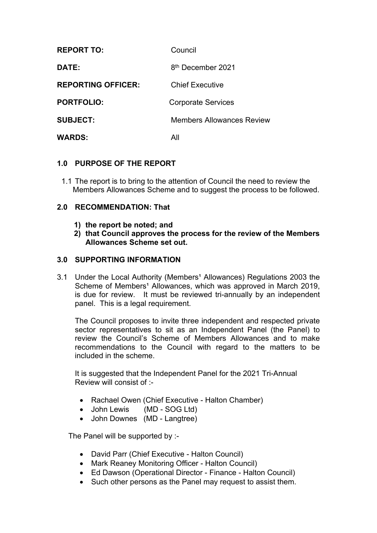| <b>REPORT TO:</b>         | Council                       |
|---------------------------|-------------------------------|
| DATE:                     | 8 <sup>th</sup> December 2021 |
| <b>REPORTING OFFICER:</b> | <b>Chief Executive</b>        |
| <b>PORTFOLIO:</b>         | <b>Corporate Services</b>     |
| <b>SUBJECT:</b>           | Members Allowances Review     |
| <b>WARDS:</b>             | All                           |

# **1.0 PURPOSE OF THE REPORT**

1.1 The report is to bring to the attention of Council the need to review the Members Allowances Scheme and to suggest the process to be followed.

## **2.0 RECOMMENDATION: That**

- **1) the report be noted; and**
- **2) that Council approves the process for the review of the Members Allowances Scheme set out.**

## **3.0 SUPPORTING INFORMATION**

3.1 Under the Local Authority (Members<sup>1</sup> Allowances) Regulations 2003 the Scheme of Members<sup>1</sup> Allowances, which was approved in March 2019, is due for review. It must be reviewed tri-annually by an independent panel. This is a legal requirement.

The Council proposes to invite three independent and respected private sector representatives to sit as an Independent Panel (the Panel) to review the Council's Scheme of Members Allowances and to make recommendations to the Council with regard to the matters to be included in the scheme.

It is suggested that the Independent Panel for the 2021 Tri-Annual Review will consist of :-

- Rachael Owen (Chief Executive Halton Chamber)
- John Lewis (MD SOG Ltd)
- John Downes (MD Langtree)

The Panel will be supported by :-

- David Parr (Chief Executive Halton Council)
- Mark Reaney Monitoring Officer Halton Council)
- Ed Dawson (Operational Director Finance Halton Council)
- Such other persons as the Panel may request to assist them.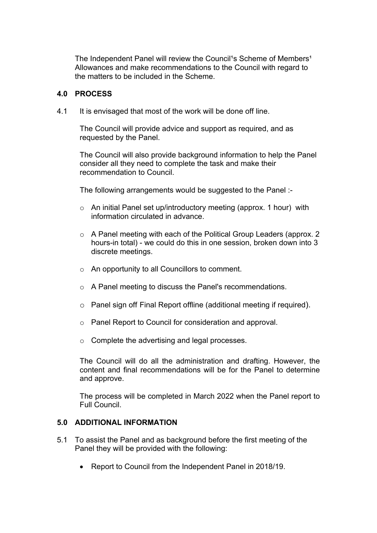The Independent Panel will review the Council<sup>1</sup>s Scheme of Members<sup>1</sup> Allowances and make recommendations to the Council with regard to the matters to be included in the Scheme.

### **4.0 PROCESS**

4.1 It is envisaged that most of the work will be done off line.

The Council will provide advice and support as required, and as requested by the Panel.

The Council will also provide background information to help the Panel consider all they need to complete the task and make their recommendation to Council.

The following arrangements would be suggested to the Panel :-

- $\circ$  An initial Panel set up/introductory meeting (approx. 1 hour) with information circulated in advance.
- o A Panel meeting with each of the Political Group Leaders (approx. 2 hours-in total) - we could do this in one session, broken down into 3 discrete meetings.
- o An opportunity to all Councillors to comment.
- o A Panel meeting to discuss the Panel's recommendations.
- o Panel sign off Final Report offline (additional meeting if required).
- o Panel Report to Council for consideration and approval.
- o Complete the advertising and legal processes.

The Council will do all the administration and drafting. However, the content and final recommendations will be for the Panel to determine and approve.

The process will be completed in March 2022 when the Panel report to Full Council.

### **5.0 ADDITIONAL INFORMATION**

- 5.1 To assist the Panel and as background before the first meeting of the Panel they will be provided with the following:
	- Report to Council from the Independent Panel in 2018/19.